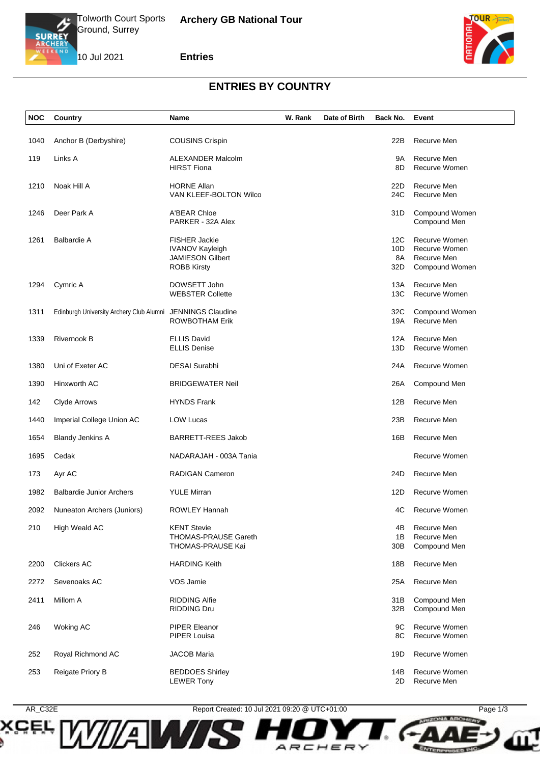

10 Jul 2021

### **Entries**



### **ENTRIES BY COUNTRY**

| <b>NOC</b> | Country                                  | Name                                                                                            | W. Rank | Date of Birth | Back No.                | Event                                                                  |
|------------|------------------------------------------|-------------------------------------------------------------------------------------------------|---------|---------------|-------------------------|------------------------------------------------------------------------|
| 1040       | Anchor B (Derbyshire)                    | <b>COUSINS Crispin</b>                                                                          |         |               | 22B                     | Recurve Men                                                            |
| 119        | Links A                                  | <b>ALEXANDER Malcolm</b><br><b>HIRST Fiona</b>                                                  |         |               | 9A<br>8D                | Recurve Men<br>Recurve Women                                           |
| 1210       | Noak Hill A                              | <b>HORNE Allan</b><br>VAN KLEEF-BOLTON Wilco                                                    |         |               | 22D<br>24C              | Recurve Men<br>Recurve Men                                             |
| 1246       | Deer Park A                              | A'BEAR Chloe<br>PARKER - 32A Alex                                                               |         |               | 31D                     | Compound Women<br>Compound Men                                         |
| 1261       | <b>Balbardie A</b>                       | <b>FISHER Jackie</b><br><b>IVANOV Kayleigh</b><br><b>JAMIESON Gilbert</b><br><b>ROBB Kirsty</b> |         |               | 12C<br>10D<br>8A<br>32D | Recurve Women<br><b>Recurve Women</b><br>Recurve Men<br>Compound Women |
| 1294       | Cymric A                                 | DOWSETT John<br><b>WEBSTER Collette</b>                                                         |         |               | 13A<br>13C              | Recurve Men<br>Recurve Women                                           |
| 1311       | Edinburgh University Archery Club Alumni | <b>JENNINGS Claudine</b><br>ROWBOTHAM Erik                                                      |         |               | 32C<br>19A              | Compound Women<br>Recurve Men                                          |
| 1339       | Rivernook B                              | <b>ELLIS David</b><br><b>ELLIS Denise</b>                                                       |         |               | 12A<br>13D              | Recurve Men<br>Recurve Women                                           |
| 1380       | Uni of Exeter AC                         | <b>DESAI Surabhi</b>                                                                            |         |               | 24A                     | Recurve Women                                                          |
| 1390       | Hinxworth AC                             | <b>BRIDGEWATER Neil</b>                                                                         |         |               | 26A                     | Compound Men                                                           |
| 142        | <b>Clyde Arrows</b>                      | <b>HYNDS Frank</b>                                                                              |         |               | 12B                     | Recurve Men                                                            |
| 1440       | Imperial College Union AC                | <b>LOW Lucas</b>                                                                                |         |               | 23B                     | Recurve Men                                                            |
| 1654       | <b>Blandy Jenkins A</b>                  | <b>BARRETT-REES Jakob</b>                                                                       |         |               | 16B                     | Recurve Men                                                            |
| 1695       | Cedak                                    | NADARAJAH - 003A Tania                                                                          |         |               |                         | Recurve Women                                                          |
| 173        | Ayr AC                                   | RADIGAN Cameron                                                                                 |         |               | 24D                     | Recurve Men                                                            |
| 1982       | <b>Balbardie Junior Archers</b>          | <b>YULE Mirran</b>                                                                              |         |               | 12D                     | Recurve Women                                                          |
| 2092       | Nuneaton Archers (Juniors)               | <b>ROWLEY Hannah</b>                                                                            |         |               | 4C                      | <b>Recurve Women</b>                                                   |
| 210        | High Weald AC                            | <b>KENT Stevie</b><br><b>THOMAS-PRAUSE Gareth</b><br>THOMAS-PRAUSE Kai                          |         |               | 4B<br>1B<br>30B         | Recurve Men<br>Recurve Men<br>Compound Men                             |
| 2200       | <b>Clickers AC</b>                       | <b>HARDING Keith</b>                                                                            |         |               | 18B                     | Recurve Men                                                            |
| 2272       | Sevenoaks AC                             | VOS Jamie                                                                                       |         |               | 25A                     | Recurve Men                                                            |
| 2411       | Millom A                                 | <b>RIDDING Alfie</b><br><b>RIDDING Dru</b>                                                      |         |               | 31B<br>32B              | Compound Men<br>Compound Men                                           |
| 246        | Woking AC                                | <b>PIPER Eleanor</b><br>PIPER Louisa                                                            |         |               | 9C<br>8C                | Recurve Women<br>Recurve Women                                         |
| 252        | Royal Richmond AC                        | <b>JACOB Maria</b>                                                                              |         |               | 19D                     | Recurve Women                                                          |
| 253        | Reigate Priory B                         | <b>BEDDOES Shirley</b><br><b>LEWER Tony</b>                                                     |         |               | 14B<br>2D               | Recurve Women<br>Recurve Men                                           |

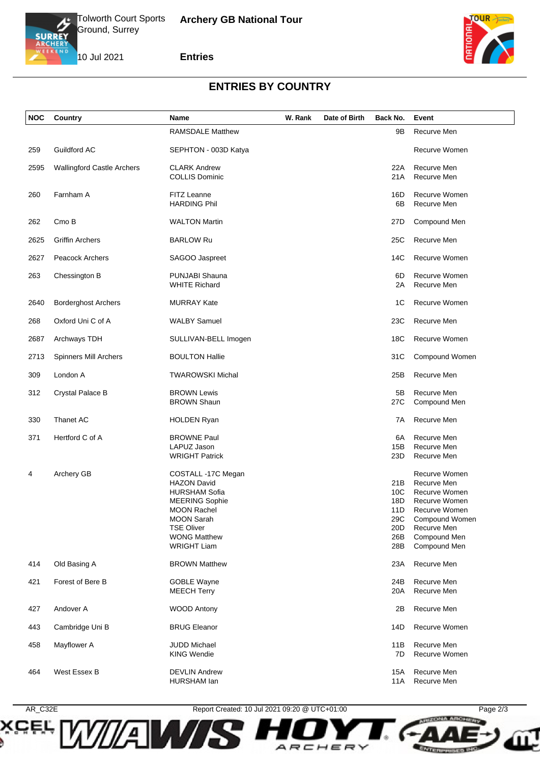

10 Jul 2021

### **Entries**



# **ENTRIES BY COUNTRY**

| NOC  | Country                           | Name                                       | W. Rank | Date of Birth | Back No.               | Event                        |
|------|-----------------------------------|--------------------------------------------|---------|---------------|------------------------|------------------------------|
|      |                                   | <b>RAMSDALE Matthew</b>                    |         |               | 9Β                     | Recurve Men                  |
| 259  | Guildford AC                      | SEPHTON - 003D Katya                       |         |               |                        | Recurve Women                |
| 2595 | <b>Wallingford Castle Archers</b> | <b>CLARK Andrew</b>                        |         |               | 22A                    | Recurve Men                  |
|      |                                   | <b>COLLIS Dominic</b>                      |         |               | 21A                    | Recurve Men                  |
| 260  | Farnham A                         | FITZ Leanne                                |         |               | 16D                    | Recurve Women                |
|      |                                   | <b>HARDING Phil</b>                        |         |               | 6B                     | Recurve Men                  |
|      |                                   |                                            |         |               |                        |                              |
| 262  | Cmo B                             | <b>WALTON Martin</b>                       |         |               | 27D                    | Compound Men                 |
| 2625 | <b>Griffin Archers</b>            | <b>BARLOW Ru</b>                           |         |               | 25C                    | Recurve Men                  |
|      |                                   |                                            |         |               |                        |                              |
| 2627 | <b>Peacock Archers</b>            | SAGOO Jaspreet                             |         |               | 14C                    | Recurve Women                |
| 263  | Chessington B                     | PUNJABI Shauna                             |         |               | 6D                     | <b>Recurve Women</b>         |
|      |                                   | <b>WHITE Richard</b>                       |         |               | 2A                     | Recurve Men                  |
| 2640 | <b>Borderghost Archers</b>        | <b>MURRAY Kate</b>                         |         |               | 1C                     | <b>Recurve Women</b>         |
|      |                                   |                                            |         |               |                        |                              |
| 268  | Oxford Uni C of A                 | <b>WALBY Samuel</b>                        |         |               | 23C                    | Recurve Men                  |
| 2687 | Archways TDH                      | SULLIVAN-BELL Imogen                       |         |               | 18C                    | <b>Recurve Women</b>         |
|      |                                   |                                            |         |               |                        |                              |
| 2713 | <b>Spinners Mill Archers</b>      | <b>BOULTON Hallie</b>                      |         |               | 31C                    | Compound Women               |
| 309  | London A                          | <b>TWAROWSKI Michal</b>                    |         |               | 25B                    | Recurve Men                  |
| 312  | Crystal Palace B                  | <b>BROWN Lewis</b>                         |         |               | 5B                     | Recurve Men                  |
|      |                                   | <b>BROWN Shaun</b>                         |         |               | 27C                    | Compound Men                 |
| 330  | Thanet AC                         | <b>HOLDEN Ryan</b>                         |         |               | 7A                     | Recurve Men                  |
|      |                                   |                                            |         |               |                        |                              |
| 371  | Hertford C of A                   | <b>BROWNE Paul</b><br>LAPUZ Jason          |         |               | 6A<br>15B              | Recurve Men<br>Recurve Men   |
|      |                                   | <b>WRIGHT Patrick</b>                      |         |               | 23D                    | Recurve Men                  |
|      |                                   |                                            |         |               |                        |                              |
| 4    | Archery GB                        | COSTALL-17C Megan                          |         |               |                        | Recurve Women                |
|      |                                   | <b>HAZON David</b><br><b>HURSHAM Sofia</b> |         |               | 21B<br>10 <sup>C</sup> | Recurve Men<br>Recurve Women |
|      |                                   | <b>MEERING Sophie</b>                      |         |               | 18D                    | Recurve Women                |
|      |                                   | <b>MOON Rachel</b>                         |         |               | 11D                    | Recurve Women                |
|      |                                   | <b>MOON Sarah</b>                          |         |               | 29C                    | Compound Women               |
|      |                                   | <b>TSE Oliver</b>                          |         |               | 20D                    | Recurve Men                  |
|      |                                   | <b>WONG Matthew</b>                        |         |               | 26B                    | Compound Men                 |
|      |                                   | <b>WRIGHT Liam</b>                         |         |               | 28B                    | Compound Men                 |
|      |                                   |                                            |         |               |                        |                              |
| 414  | Old Basing A                      | <b>BROWN Matthew</b>                       |         |               | 23A                    | Recurve Men                  |
| 421  | Forest of Bere B                  | <b>GOBLE Wayne</b>                         |         |               | 24B                    | Recurve Men                  |
|      |                                   | <b>MEECH Terry</b>                         |         |               | 20A                    | Recurve Men                  |
| 427  | Andover A                         | <b>WOOD Antony</b>                         |         |               | 2Β                     | Recurve Men                  |
|      |                                   |                                            |         |               |                        |                              |
| 443  | Cambridge Uni B                   | <b>BRUG Eleanor</b>                        |         |               | 14D                    | Recurve Women                |
| 458  | Mayflower A                       | <b>JUDD Michael</b>                        |         |               | 11B                    | Recurve Men                  |
|      |                                   | <b>KING Wendie</b>                         |         |               | 7D                     | Recurve Women                |
| 464  | West Essex B                      | <b>DEVLIN Andrew</b>                       |         |               | 15A                    | Recurve Men                  |
|      |                                   | HURSHAM lan                                |         |               | 11A                    | Recurve Men                  |
|      |                                   |                                            |         |               |                        |                              |